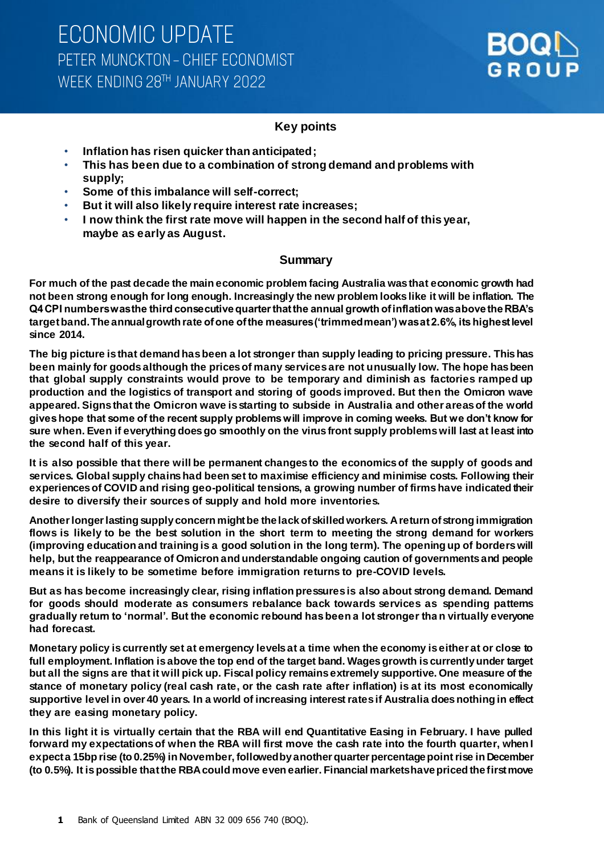

## **Key points**

- **Inflation has risen quicker than anticipated;**
- **This has been due to a combination of strong demand and problems with supply;**
- **Some of this imbalance will self-correct;**
- **But it will also likely require interest rate increases;**
- **I now think the first rate move will happen in the second half of this year, maybe as early as August.**

### **Summary**

**For much of the past decade the main economic problem facing Australia was that economic growth had not been strong enough for long enough. Increasingly the new problem looks like it will be inflation. The Q4 CPI numbers was the third consecutive quarter that the annual growth of inflation was above the RBA's target band. The annual growth rate of one of the measures ('trimmed mean') was at 2.6%, its highest level since 2014.**

**The big picture is that demand has been a lot stronger than supply leading to pricing pressure. This has been mainly for goods although the prices of many services are not unusually low. The hope has been that global supply constraints would prove to be temporary and diminish as factories ramped up production and the logistics of transport and storing of goods improved. But then the Omicron wave appeared. Signs that the Omicron wave is starting to subside in Australia and other areas of the world gives hope that some of the recent supply problems will improve in coming weeks. But we don't know for sure when. Even if everything does go smoothly on the virus front supply problems will last at least into the second half of this year.** 

**It is also possible that there will be permanent changes to the economics of the supply of goods and services. Global supply chains had been set to maximise efficiency and minimise costs. Following their experiences of COVID and rising geo-political tensions, a growing number of firms have indicated their desire to diversify their sources of supply and hold more inventories.** 

**Another longer lasting supply concern might be the lack of skilled workers. A return of strong immigration flows is likely to be the best solution in the short term to meeting the strong demand for workers (improving education and training is a good solution in the long term). The opening up of borders will help, but the reappearance of Omicron and understandable ongoing caution of governments and people means it is likely to be sometime before immigration returns to pre-COVID levels.**

**But as has become increasingly clear, rising inflation pressures is also about strong demand. Demand for goods should moderate as consumers rebalance back towards services as spending patterns gradually return to 'normal'. But the economic rebound has been a lot stronger tha n virtually everyone had forecast.**

**Monetary policy is currently set at emergency levels at a time when the economy is either at or close to full employment. Inflation is above the top end of the target band. Wages growth is currently under target but all the signs are that it will pick up. Fiscal policy remains extremely supportive. One measure of the stance of monetary policy (real cash rate, or the cash rate after inflation) is at its most economically supportive level in over 40 years. In a world of increasing interest rates if Australia does nothing in effect they are easing monetary policy.** 

**In this light it is virtually certain that the RBA will end Quantitative Easing in February. I have pulled forward my expectations of when the RBA will first move the cash rate into the fourth quarter, when I expect a 15bp rise (to 0.25%) in November, followed by another quarter percentage point rise in December (to 0.5%). It is possible that the RBA could move even earlier. Financial markets have priced the first move**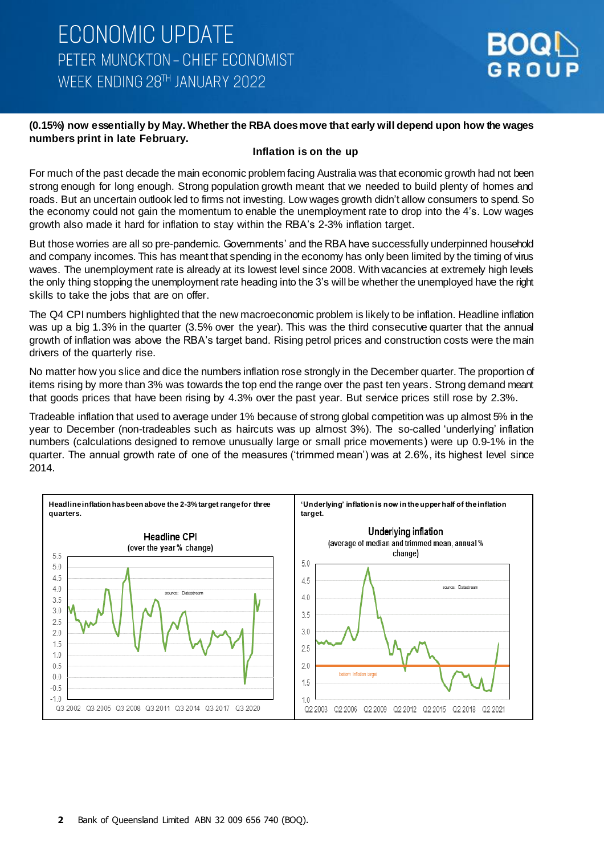#### **(0.15%) now essentially by May. Whether the RBA does move that early will depend upon how the wages numbers print in late February.**

#### **Inflation is on the up**

For much of the past decade the main economic problem facing Australia was that economic growth had not been strong enough for long enough. Strong population growth meant that we needed to build plenty of homes and roads. But an uncertain outlook led to firms not investing. Low wages growth didn't allow consumers to spend. So the economy could not gain the momentum to enable the unemployment rate to drop into the 4's. Low wages growth also made it hard for inflation to stay within the RBA's 2-3% inflation target.

But those worries are all so pre-pandemic. Governments' and the RBA have successfully underpinned household and company incomes. This has meant that spending in the economy has only been limited by the timing of virus waves. The unemployment rate is already at its lowest level since 2008. With vacancies at extremely high levels the only thing stopping the unemployment rate heading into the 3's will be whether the unemployed have the right skills to take the jobs that are on offer.

The Q4 CPI numbers highlighted that the new macroeconomic problem is likely to be inflation. Headline inflation was up a big 1.3% in the quarter (3.5% over the year). This was the third consecutive quarter that the annual growth of inflation was above the RBA's target band. Rising petrol prices and construction costs were the main drivers of the quarterly rise.

No matter how you slice and dice the numbers inflation rose strongly in the December quarter. The proportion of items rising by more than 3% was towards the top end the range over the past ten years. Strong demand meant that goods prices that have been rising by 4.3% over the past year. But service prices still rose by 2.3%.

Tradeable inflation that used to average under 1% because of strong global competition was up almost 5% in the year to December (non-tradeables such as haircuts was up almost 3%). The so-called 'underlying' inflation numbers (calculations designed to remove unusually large or small price movements) were up 0.9-1% in the quarter. The annual growth rate of one of the measures ('trimmed mean') was at 2.6%, its highest level since 2014.

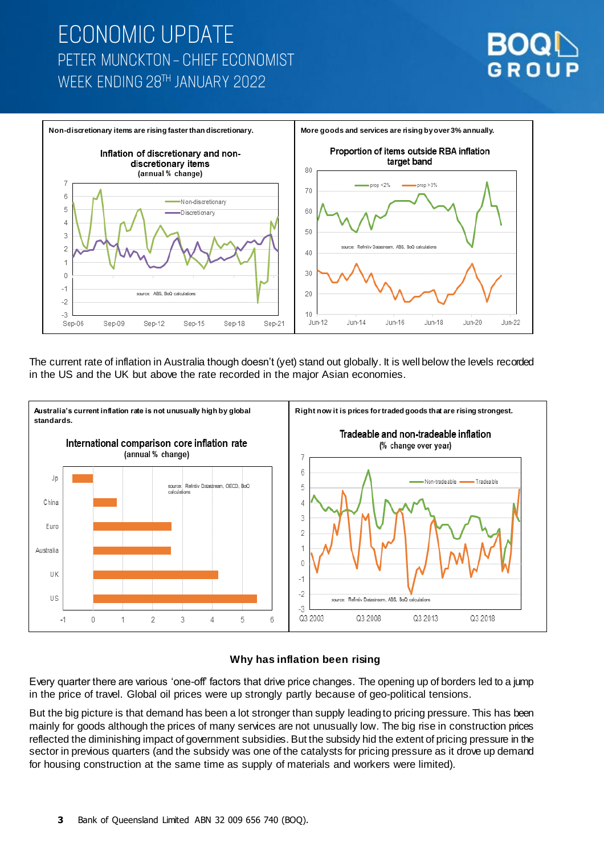# **ECONOMIC UPDATE** PETER MUNCKTON - CHIEF ECONOMIST WEEK ENDING 28TH JANUARY 2022





The current rate of inflation in Australia though doesn't (yet) stand out globally. It is well below the levels recorded in the US and the UK but above the rate recorded in the major Asian economies.



### **Why has inflation been rising**

Every quarter there are various 'one-off' factors that drive price changes. The opening up of borders led to a jump in the price of travel. Global oil prices were up strongly partly because of geo-political tensions.

But the big picture is that demand has been a lot stronger than supply leading to pricing pressure. This has been mainly for goods although the prices of many services are not unusually low. The big rise in construction prices reflected the diminishing impact of government subsidies. But the subsidy hid the extent of pricing pressure in the sector in previous quarters (and the subsidy was one of the catalysts for pricing pressure as it drove up demand for housing construction at the same time as supply of materials and workers were limited).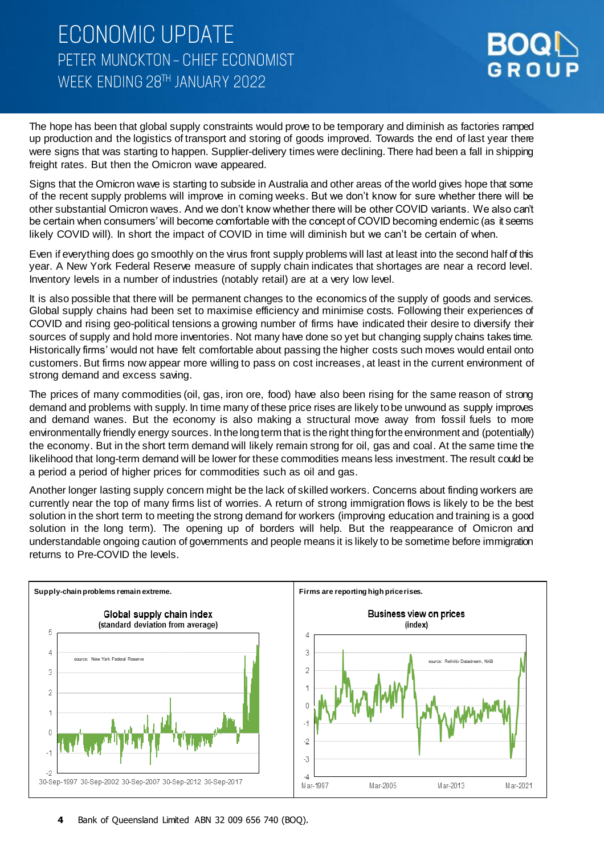**ECONOMIC UPDATE** PETER MUNCKTON - CHIEF ECONOMIST WFFK FNDING 28TH JANUARY 2022



The hope has been that global supply constraints would prove to be temporary and diminish as factories ramped up production and the logistics of transport and storing of goods improved. Towards the end of last year there were signs that was starting to happen. Supplier-delivery times were declining. There had been a fall in shipping freight rates. But then the Omicron wave appeared.

Signs that the Omicron wave is starting to subside in Australia and other areas of the world gives hope that some of the recent supply problems will improve in coming weeks. But we don't know for sure whether there will be other substantial Omicron waves. And we don't know whether there will be other COVID variants. We also can't be certain when consumers' will become comfortable with the concept of COVID becoming endemic (as it seems likely COVID will). In short the impact of COVID in time will diminish but we can't be certain of when.

Even if everything does go smoothly on the virus front supply problems will last at least into the second half of this year. A New York Federal Reserve measure of supply chain indicates that shortages are near a record level. Inventory levels in a number of industries (notably retail) are at a very low level.

It is also possible that there will be permanent changes to the economics of the supply of goods and services. Global supply chains had been set to maximise efficiency and minimise costs. Following their experiences of COVID and rising geo-political tensions a growing number of firms have indicated their desire to diversify their sources of supply and hold more inventories. Not many have done so yet but changing supply chains takes time. Historically firms' would not have felt comfortable about passing the higher costs such moves would entail onto customers. But firms now appear more willing to pass on cost increases, at least in the current environment of strong demand and excess saving.

The prices of many commodities (oil, gas, iron ore, food) have also been rising for the same reason of strong demand and problems with supply. In time many of these price rises are likely to be unwound as supply improves and demand wanes. But the economy is also making a structural move away from fossil fuels to more environmentally friendly energy sources. In the long term that is the right thing for the environment and (potentially) the economy. But in the short term demand will likely remain strong for oil, gas and coal. At the same time the likelihood that long-term demand will be lower for these commodities means less investment. The result could be a period a period of higher prices for commodities such as oil and gas.

Another longer lasting supply concern might be the lack of skilled workers. Concerns about finding workers are currently near the top of many firms list of worries. A return of strong immigration flows is likely to be the best solution in the short term to meeting the strong demand for workers (improving education and training is a good solution in the long term). The opening up of borders will help. But the reappearance of Omicron and understandable ongoing caution of governments and people means it is likely to be sometime before immigration returns to Pre-COVID the levels.

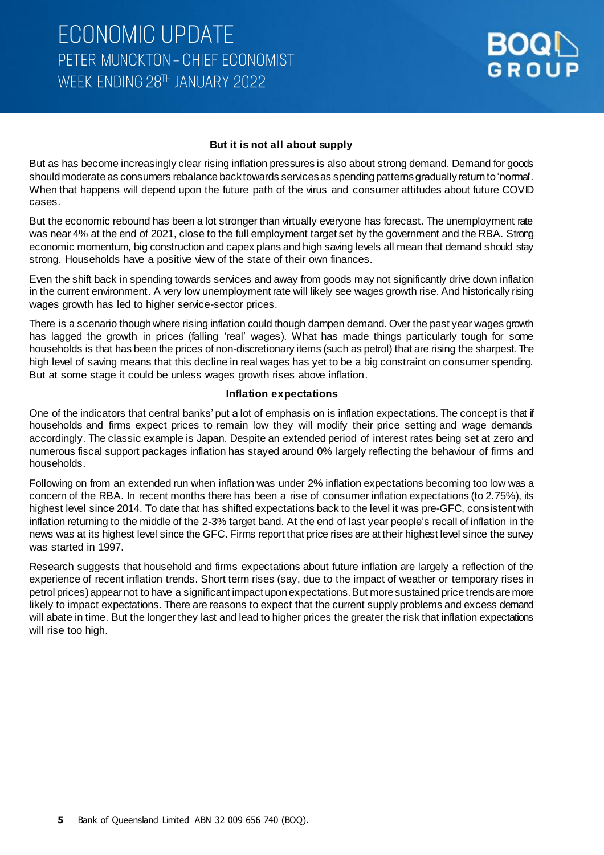#### **But it is not all about supply**

But as has become increasingly clear rising inflation pressures is also about strong demand. Demand for goods should moderate as consumers rebalance back towards services as spending patterns gradually return to 'normal'. When that happens will depend upon the future path of the virus and consumer attitudes about future COVID cases.

But the economic rebound has been a lot stronger than virtually everyone has forecast. The unemployment rate was near 4% at the end of 2021, close to the full employment target set by the government and the RBA. Strong economic momentum, big construction and capex plans and high saving levels all mean that demand should stay strong. Households have a positive view of the state of their own finances.

Even the shift back in spending towards services and away from goods may not significantly drive down inflation in the current environment. A very low unemployment rate will likely see wages growth rise. And historically rising wages growth has led to higher service-sector prices.

There is a scenario though where rising inflation could though dampen demand. Over the past year wages growth has lagged the growth in prices (falling 'real' wages). What has made things particularly tough for some households is that has been the prices of non-discretionary items (such as petrol) that are rising the sharpest. The high level of saving means that this decline in real wages has yet to be a big constraint on consumer spending. But at some stage it could be unless wages growth rises above inflation.

#### **Inflation expectations**

One of the indicators that central banks' put a lot of emphasis on is inflation expectations. The concept is that if households and firms expect prices to remain low they will modify their price setting and wage demands accordingly. The classic example is Japan. Despite an extended period of interest rates being set at zero and numerous fiscal support packages inflation has stayed around 0% largely reflecting the behaviour of firms and households.

Following on from an extended run when inflation was under 2% inflation expectations becoming too low was a concern of the RBA. In recent months there has been a rise of consumer inflation expectations (to 2.75%), its highest level since 2014. To date that has shifted expectations back to the level it was pre-GFC, consistent with inflation returning to the middle of the 2-3% target band. At the end of last year people's recall of inflation in the news was at its highest level since the GFC. Firms report that price rises are at their highest level since the survey was started in 1997.

Research suggests that household and firms expectations about future inflation are largely a reflection of the experience of recent inflation trends. Short term rises (say, due to the impact of weather or temporary rises in petrol prices) appear not to have a significant impact upon expectations. But more sustained price trends are more likely to impact expectations. There are reasons to expect that the current supply problems and excess demand will abate in time. But the longer they last and lead to higher prices the greater the risk that inflation expectations will rise too high.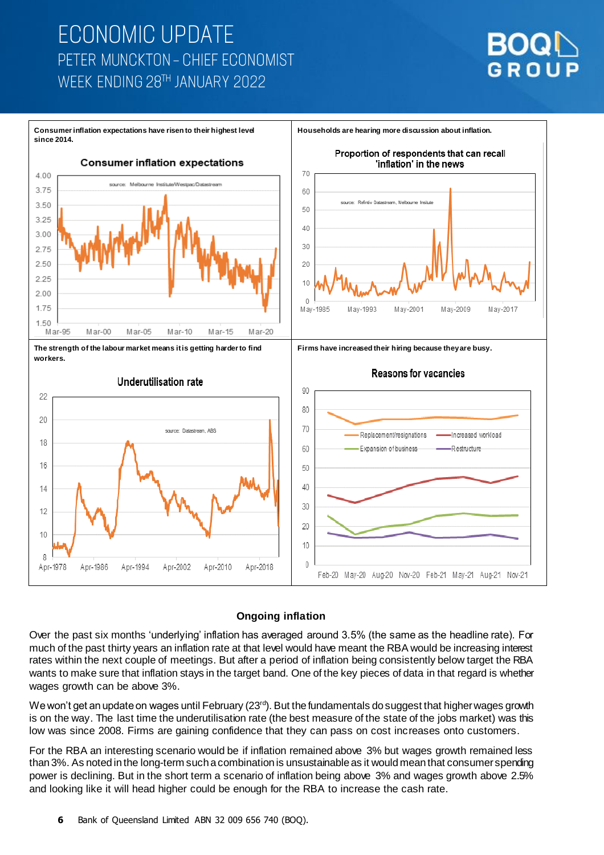# **ECONOMIC UPDATE** PETER MUNCKTON - CHIEF ECONOMIST WEEK FNDING 28TH JANUARY 2022





#### **Ongoing inflation**

Over the past six months 'underlying' inflation has averaged around 3.5% (the same as the headline rate). For much of the past thirty years an inflation rate at that level would have meant the RBA would be increasing interest rates within the next couple of meetings. But after a period of inflation being consistently below target the RBA wants to make sure that inflation stays in the target band. One of the key pieces of data in that regard is whether wages growth can be above 3%.

We won't get an update on wages until February (23<sup>rd</sup>). But the fundamentals do suggest that higher wages growth is on the way. The last time the underutilisation rate (the best measure of the state of the jobs market) was this low was since 2008. Firms are gaining confidence that they can pass on cost increases onto customers.

For the RBA an interesting scenario would be if inflation remained above 3% but wages growth remained less than 3%. As noted in the long-term such a combination is unsustainable as it would meanthat consumer spending power is declining. But in the short term a scenario of inflation being above 3% and wages growth above 2.5% and looking like it will head higher could be enough for the RBA to increase the cash rate.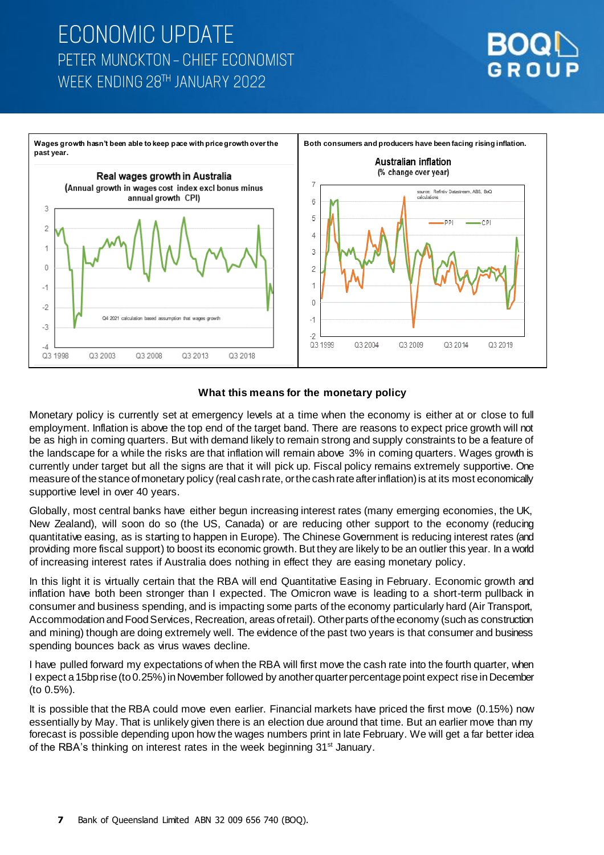# **ECONOMIC UPDATE** PETER MUNCKTON - CHIEF ECONOMIST WEEK FNDING 28TH JANUARY 2022



### **What this means for the monetary policy**

Monetary policy is currently set at emergency levels at a time when the economy is either at or close to full employment. Inflation is above the top end of the target band. There are reasons to expect price growth will not be as high in coming quarters. But with demand likely to remain strong and supply constraints to be a feature of the landscape for a while the risks are that inflation will remain above 3% in coming quarters. Wages growth is currently under target but all the signs are that it will pick up. Fiscal policy remains extremely supportive. One measure of the stance of monetary policy (real cash rate, or the cash rate after inflation) is at its most economically supportive level in over 40 years.

Globally, most central banks have either begun increasing interest rates (many emerging economies, the UK, New Zealand), will soon do so (the US, Canada) or are reducing other support to the economy (reducing quantitative easing, as is starting to happen in Europe). The Chinese Government is reducing interest rates (and providing more fiscal support) to boost its economic growth. But they are likely to be an outlier this year. In a world of increasing interest rates if Australia does nothing in effect they are easing monetary policy.

In this light it is virtually certain that the RBA will end Quantitative Easing in February. Economic growth and inflation have both been stronger than I expected. The Omicron wave is leading to a short-term pullback in consumer and business spending, and is impacting some parts of the economy particularly hard (Air Transport, Accommodation and Food Services, Recreation, areas of retail). Other parts of the economy (such as construction and mining) though are doing extremely well. The evidence of the past two years is that consumer and business spending bounces back as virus waves decline.

I have pulled forward my expectations of when the RBA will first move the cash rate into the fourth quarter, when I expect a 15bp rise (to 0.25%) in November followed by another quarter percentage point expect rise in December (to 0.5%).

It is possible that the RBA could move even earlier. Financial markets have priced the first move (0.15%) now essentially by May. That is unlikely given there is an election due around that time. But an earlier move than my forecast is possible depending upon how the wages numbers print in late February. We will get a far better idea of the RBA's thinking on interest rates in the week beginning 31<sup>st</sup> January.